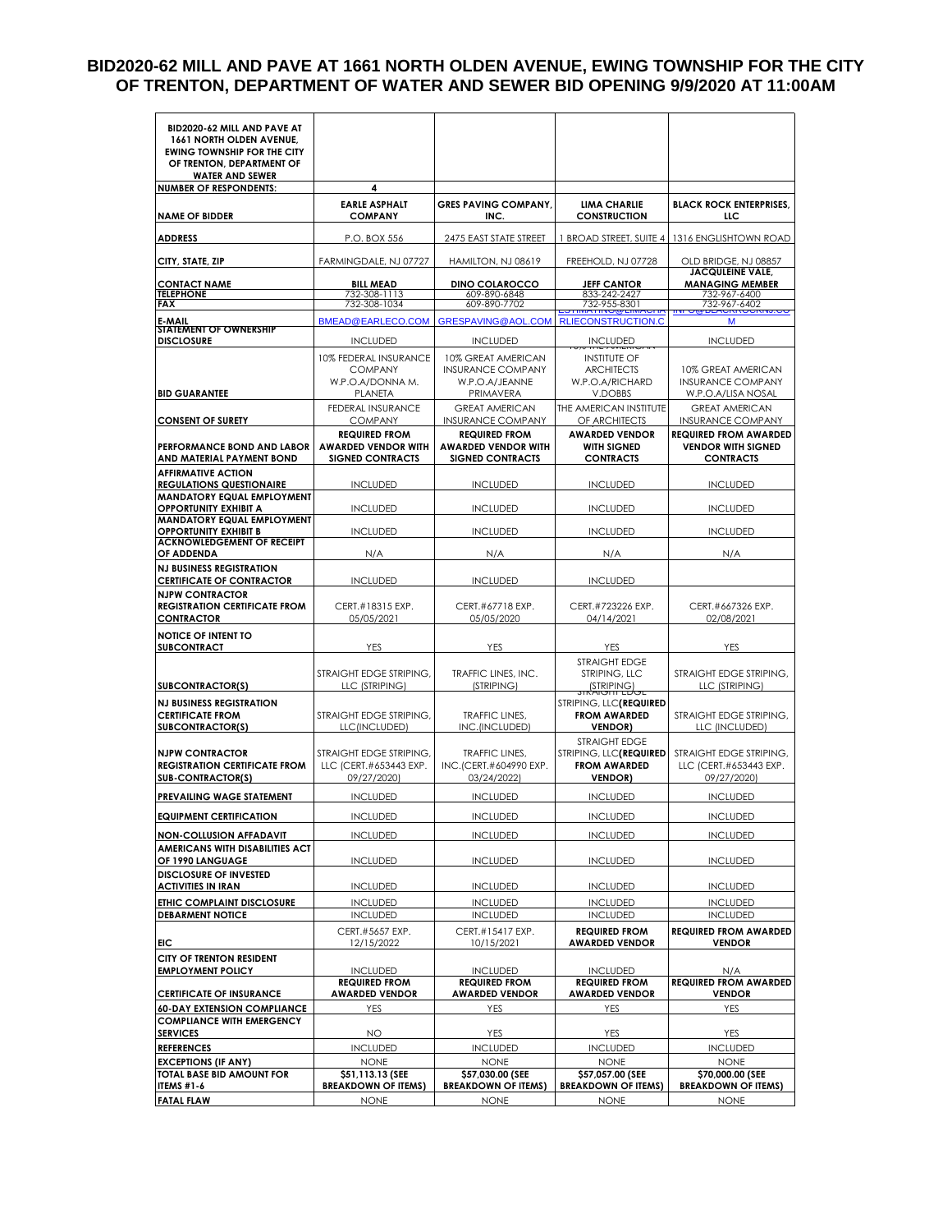#### **BID2020-62 MILL AND PAVE AT 1661 NORTH OLDEN AVENUE, EWING TOWNSHIP FOR THE CITY OF TRENTON, DEPARTMENT OF WATER AND SEWER BID OPENING 9/9/2020 AT 11:00AM**

| BID2020-62 MILL AND PAVE AT<br>1661 NORTH OLDEN AVENUE,             |                                                    |                                                    |                                               |                                                           |
|---------------------------------------------------------------------|----------------------------------------------------|----------------------------------------------------|-----------------------------------------------|-----------------------------------------------------------|
| <b>EWING TOWNSHIP FOR THE CITY</b><br>OF TRENTON, DEPARTMENT OF     |                                                    |                                                    |                                               |                                                           |
| <b>WATER AND SEWER</b>                                              |                                                    |                                                    |                                               |                                                           |
| <b>NUMBER OF RESPONDENTS:</b>                                       | 4                                                  |                                                    |                                               |                                                           |
| <b>NAME OF BIDDER</b>                                               | <b>EARLE ASPHALT</b><br><b>COMPANY</b>             | <b>GRES PAVING COMPANY,</b><br>INC.                | <b>LIMA CHARLIE</b><br><b>CONSTRUCTION</b>    | <b>BLACK ROCK ENTERPRISES,</b><br>LLC                     |
| <b>ADDRESS</b>                                                      | P.O. BOX 556                                       | 2475 EAST STATE STREET                             | 1 BROAD STREET, SUITE 4                       | 1316 ENGLISHTOWN ROAD                                     |
| CITY, STATE, ZIP                                                    | FARMINGDALE, NJ 07727                              | HAMILTON, NJ 08619                                 | FREEHOLD, NJ 07728                            | OLD BRIDGE, NJ 08857<br><b>JACQULEINE VALE,</b>           |
| <b>CONTACT NAME</b>                                                 | <b>BILL MEAD</b>                                   | <b>DINO COLAROCCO</b>                              | <b>JEFF CANTOR</b>                            | <b>MANAGING MEMBER</b>                                    |
| <b>TELEPHONE</b><br>FAX                                             | 732-308-1113<br>732-308-1034                       | 609-890-6848<br>609-890-7702                       | 833-242-2427<br>732-955-8301                  | 732-967-6400<br>732-967-6402                              |
| E-MAIL                                                              | BMEAD@EARLECO.COM                                  | GRESPAVING@AOL.COM                                 | <b>RLIECONSTRUCTION.C</b>                     | м                                                         |
| STATEMENT OF OWNERSHIP<br><b>DISCLOSURE</b>                         | <b>INCLUDED</b>                                    | <b>INCLUDED</b>                                    | <b>UNCLUDED</b>                               | <b>INCLUDED</b>                                           |
|                                                                     | 10% FEDERAL INSURANCE                              | 10% GREAT AMERICAN                                 | <b>INSTITUTE OF</b>                           |                                                           |
|                                                                     | <b>COMPANY</b>                                     | <b>INSURANCE COMPANY</b>                           | <b>ARCHITECTS</b>                             | 10% GREAT AMERICAN                                        |
| <b>BID GUARANTEE</b>                                                | W.P.O.A/DONNA M.<br>PLANETA                        | W.P.O.A/JEANNE                                     | W.P.O.A/RICHARD<br>V.DOBBS                    | <b>INSURANCE COMPANY</b>                                  |
|                                                                     | <b>FEDERAL INSURANCE</b>                           | PRIMAVERA<br><b>GREAT AMERICAN</b>                 | THE AMERICAN INSTITUTE                        | W.P.O.A/LISA NOSAL<br><b>GREAT AMERICAN</b>               |
| <b>CONSENT OF SURETY</b>                                            | <b>COMPANY</b>                                     | <b>INSURANCE COMPANY</b>                           | OF ARCHITECTS                                 | <b>INSURANCE COMPANY</b>                                  |
| PERFORMANCE BOND AND LABOR                                          | <b>REQUIRED FROM</b><br><b>AWARDED VENDOR WITH</b> | <b>REQUIRED FROM</b><br><b>AWARDED VENDOR WITH</b> | <b>AWARDED VENDOR</b><br><b>WITH SIGNED</b>   | <b>REQUIRED FROM AWARDED</b><br><b>VENDOR WITH SIGNED</b> |
| AND MATERIAL PAYMENT BOND<br><b>AFFIRMATIVE ACTION</b>              | <b>SIGNED CONTRACTS</b>                            | <b>SIGNED CONTRACTS</b>                            | <b>CONTRACTS</b>                              | <b>CONTRACTS</b>                                          |
| <b>REGULATIONS QUESTIONAIRE</b>                                     | <b>INCLUDED</b>                                    | <b>INCLUDED</b>                                    | <b>INCLUDED</b>                               | <b>INCLUDED</b>                                           |
| <b>MANDATORY EQUAL EMPLOYMENT</b><br><b>OPPORTUNITY EXHIBIT A</b>   | <b>INCLUDED</b>                                    | <b>INCLUDED</b>                                    | <b>INCLUDED</b>                               | <b>INCLUDED</b>                                           |
| <b>MANDATORY EQUAL EMPLOYMENT</b>                                   |                                                    |                                                    |                                               |                                                           |
| <b>OPPORTUNITY EXHIBIT B</b><br><b>ACKNOWLEDGEMENT OF RECEIPT</b>   | <b>INCLUDED</b>                                    | <b>INCLUDED</b>                                    | <b>INCLUDED</b>                               | <b>INCLUDED</b>                                           |
| OF ADDENDA                                                          | N/A                                                | N/A                                                | N/A                                           | N/A                                                       |
| <b>NJ BUSINESS REGISTRATION</b><br><b>CERTIFICATE OF CONTRACTOR</b> | <b>INCLUDED</b>                                    | <b>INCLUDED</b>                                    | <b>INCLUDED</b>                               |                                                           |
| <b>NJPW CONTRACTOR</b><br><b>REGISTRATION CERTIFICATE FROM</b>      | CERT.#18315 EXP.                                   | CERT.#67718 EXP.                                   | CERT.#723226 EXP.                             | CERT.#667326 EXP.                                         |
| <b>CONTRACTOR</b>                                                   | 05/05/2021                                         | 05/05/2020                                         | 04/14/2021                                    | 02/08/2021                                                |
| <b>NOTICE OF INTENT TO</b>                                          |                                                    |                                                    |                                               |                                                           |
| <b>SUBCONTRACT</b>                                                  | YES                                                | <b>YES</b>                                         | <b>YES</b>                                    | YES                                                       |
|                                                                     | STRAIGHT EDGE STRIPING,                            | TRAFFIC LINES, INC.                                | <b>STRAIGHT EDGE</b><br>STRIPING, LLC         | STRAIGHT EDGE STRIPING,                                   |
| SUBCONTRACTOR(S)                                                    | LLC (STRIPING)                                     | (STRIPING)                                         | STRIPING)                                     | LLC (STRIPING)                                            |
| <b>NJ BUSINESS REGISTRATION</b>                                     |                                                    |                                                    | STRIPING, LLC <b>(REQUIRED</b>                |                                                           |
| <b>CERTIFICATE FROM</b><br><b>SUBCONTRACTOR(S)</b>                  | STRAIGHT EDGE STRIPING,<br>LLC(INCLUDED)           | TRAFFIC LINFS.<br>INC.(INCLUDED)                   | <b>FROM AWARDED</b><br><b>VENDOR)</b>         | STRAIGHT EDGE STRIPING,<br>LLC (INCLUDED)                 |
|                                                                     |                                                    |                                                    | <b>STRAIGHT EDGE</b>                          |                                                           |
| <b>NJPW CONTRACTOR</b>                                              | STRAIGHT EDGE STRIPING.                            | <b>TRAFFIC LINES,</b>                              | STRIPING, LLC(REQUIRED                        | STRAIGHT EDGE STRIPING.                                   |
| <b>REGISTRATION CERTIFICATE FROM</b><br><b>SUB-CONTRACTOR(S)</b>    | LLC (CERT.#653443 EXP.<br>09/27/2020)              | INC.(CERT.#604990 EXP.<br>03/24/2022)              | <b>FROM AWARDED</b><br><b>VENDOR)</b>         | LLC (CERT.#653443 EXP.<br>09/27/2020)                     |
| <b>PREVAILING WAGE STATEMENT</b>                                    | <b>INCLUDED</b>                                    | <b>INCLUDED</b>                                    | <b>INCLUDED</b>                               | <b>INCLUDED</b>                                           |
| <b>EQUIPMENT CERTIFICATION</b>                                      | <b>INCLUDED</b>                                    | <b>INCLUDED</b>                                    | <b>INCLUDED</b>                               | <b>INCLUDED</b>                                           |
| <b>NON-COLLUSION AFFADAVIT</b>                                      | <b>INCLUDED</b>                                    | <b>INCLUDED</b>                                    | <b>INCLUDED</b>                               | <b>INCLUDED</b>                                           |
| AMERICANS WITH DISABILITIES ACT                                     |                                                    |                                                    |                                               |                                                           |
| OF 1990 LANGUAGE                                                    | <b>INCLUDED</b>                                    | <b>INCLUDED</b>                                    | <b>INCLUDED</b>                               | <b>INCLUDED</b>                                           |
| <b>DISCLOSURE OF INVESTED</b><br><b>ACTIVITIES IN IRAN</b>          | <b>INCLUDED</b>                                    | <b>INCLUDED</b>                                    | <b>INCLUDED</b>                               | <b>INCLUDED</b>                                           |
| ETHIC COMPLAINT DISCLOSURE                                          | <b>INCLUDED</b>                                    | <b>INCLUDED</b>                                    | <b>INCLUDED</b>                               | <b>INCLUDED</b>                                           |
| <b>DEBARMENT NOTICE</b>                                             | <b>INCLUDED</b>                                    | <b>INCLUDED</b>                                    | <b>INCLUDED</b>                               | <b>INCLUDED</b>                                           |
|                                                                     | CERT.#5657 EXP.                                    | CERT.#15417 EXP.<br>10/15/2021                     | <b>REQUIRED FROM</b>                          | <b>REQUIRED FROM AWARDED</b>                              |
| EIC.<br>CITY OF TRENTON RESIDENT                                    | 12/15/2022                                         |                                                    | <b>AWARDED VENDOR</b>                         | <b>VENDOR</b>                                             |
| <b>EMPLOYMENT POLICY</b>                                            | <b>INCLUDED</b>                                    | <b>INCLUDED</b>                                    | <b>INCLUDED</b>                               | N/A                                                       |
| <b>CERTIFICATE OF INSURANCE</b>                                     | <b>REQUIRED FROM</b><br><b>AWARDED VENDOR</b>      | <b>REQUIRED FROM</b><br><b>AWARDED VENDOR</b>      | <b>REQUIRED FROM</b><br><b>AWARDED VENDOR</b> | <b>REQUIRED FROM AWARDED</b><br><b>VENDOR</b>             |
| <b>60-DAY EXTENSION COMPLIANCE</b>                                  | YES                                                | YES                                                | YES                                           | YES                                                       |
| <b>COMPLIANCE WITH EMERGENCY</b>                                    |                                                    |                                                    |                                               |                                                           |
| <b>SERVICES</b>                                                     | <b>NO</b>                                          | YES                                                | YES                                           | YES                                                       |
| <b>REFERENCES</b><br><b>EXCEPTIONS (IF ANY)</b>                     | <b>INCLUDED</b><br><b>NONE</b>                     | <b>INCLUDED</b><br><b>NONE</b>                     | <b>INCLUDED</b><br><b>NONE</b>                | <b>INCLUDED</b><br><b>NONE</b>                            |
| TOTAL BASE BID AMOUNT FOR                                           | \$51,113.13 (SEE                                   | \$57,030.00 (SEE                                   | \$57,057.00 (SEE                              | \$70,000.00 (SEE                                          |
| ITEMS #1-6                                                          | <b>BREAKDOWN OF ITEMS)</b>                         | <b>BREAKDOWN OF ITEMS)</b>                         | <b>BREAKDOWN OF ITEMS)</b>                    | <b>BREAKDOWN OF ITEMS)</b>                                |
| <b>FATAL FLAW</b>                                                   | <b>NONE</b>                                        | <b>NONE</b>                                        | <b>NONE</b>                                   | <b>NONE</b>                                               |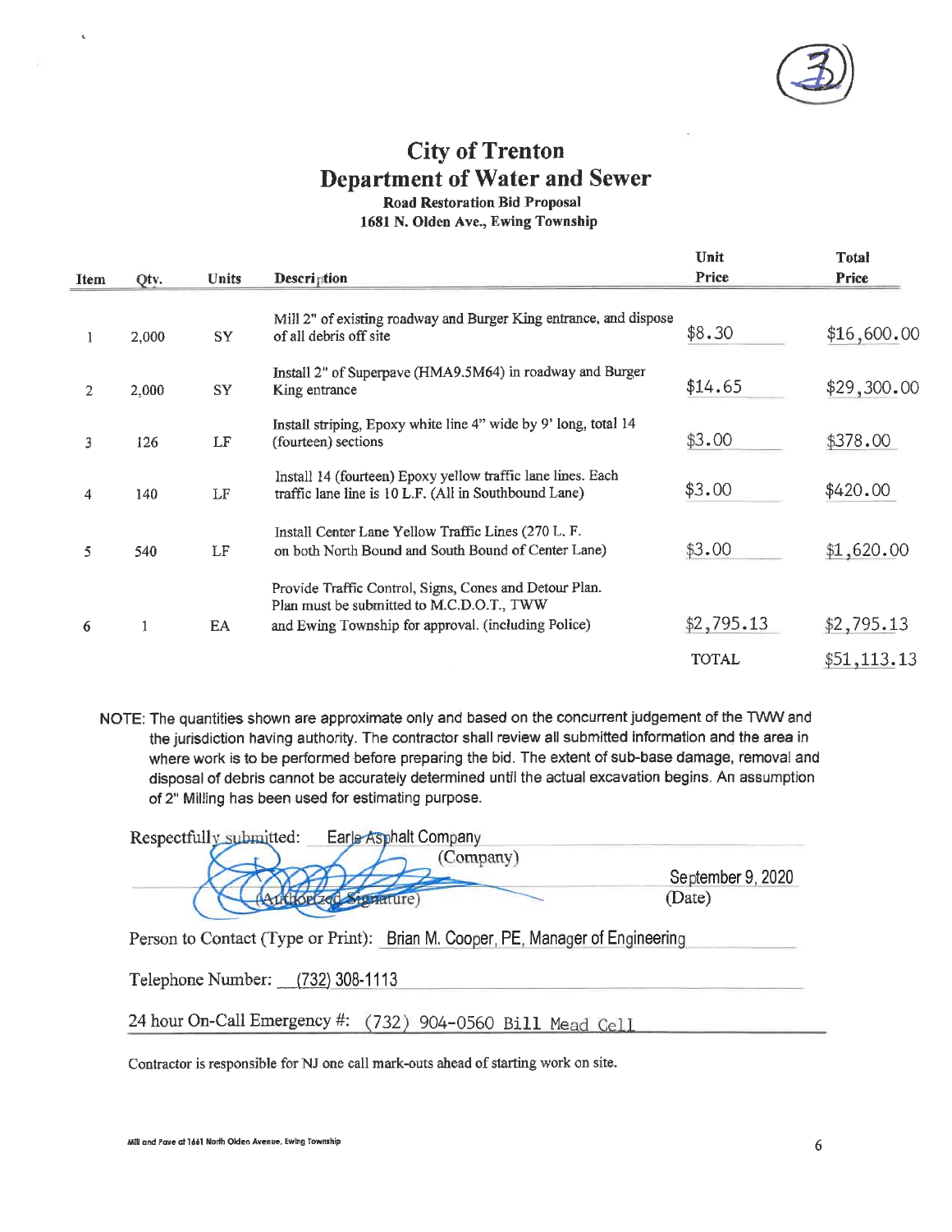

# **City of Trenton Department of Water and Sewer**

**Road Restoration Bid Proposal** 

1681 N. Olden Ave., Ewing Township

|             |       |              |                                                                                                                                                            | Unit         | <b>Total</b> |
|-------------|-------|--------------|------------------------------------------------------------------------------------------------------------------------------------------------------------|--------------|--------------|
| <b>Item</b> | Qtv.  | <b>Units</b> | Description                                                                                                                                                | Price        | Price        |
|             | 2,000 | SY           | Mill 2" of existing roadway and Burger King entrance, and dispose<br>of all debris off site                                                                | \$8.30       | \$16,600.00  |
| 2           | 2,000 | SY           | Install 2" of Superpave (HMA9.5M64) in roadway and Burger<br>King entrance                                                                                 | \$14.65      | \$29,300.00  |
| 3           | 126   | LF           | Install striping, Epoxy white line 4" wide by 9' long, total 14<br>(fourteen) sections                                                                     | \$3.00       | \$378.00     |
| 4           | 140   | LF           | Install 14 (fourteen) Epoxy yellow traffic lane lines. Each<br>traffic lane line is 10 L.F. (All in Southbound Lane)                                       | \$3.00       | \$420.00     |
| 5           | 540   | LF           | Install Center Lane Yellow Traffic Lines (270 L. F.<br>on both North Bound and South Bound of Center Lane)                                                 | \$3.00       | \$1,620.00   |
| 6           | 1     | EA           | Provide Traffic Control, Signs, Cones and Detour Plan.<br>Plan must be submitted to M.C.D.O.T., TWW<br>and Ewing Township for approval. (including Police) | \$2,795.13   | \$2,795.13   |
|             |       |              |                                                                                                                                                            | <b>TOTAL</b> | \$51, 113.13 |

NOTE: The quantities shown are approximate only and based on the concurrent judgement of the TWW and the jurisdiction having authority. The contractor shall review all submitted information and the area in where work is to be performed before preparing the bid. The extent of sub-base damage, removal and disposal of debris cannot be accurately determined until the actual excavation begins. An assumption of 2" Milling has been used for estimating purpose.

| Respectfully submitted: | Earle Asphalt Company |                   |
|-------------------------|-----------------------|-------------------|
|                         | Company)              |                   |
|                         |                       | September 9, 2020 |
|                         |                       | Jate)             |

Person to Contact (Type or Print): Brian M. Cooper, PE, Manager of Engineering

Telephone Number: (732) 308-1113

24 hour On-Call Emergency #: (732) 904-0560 Bill Mead Cell

Contractor is responsible for NJ one call mark-outs ahead of starting work on site.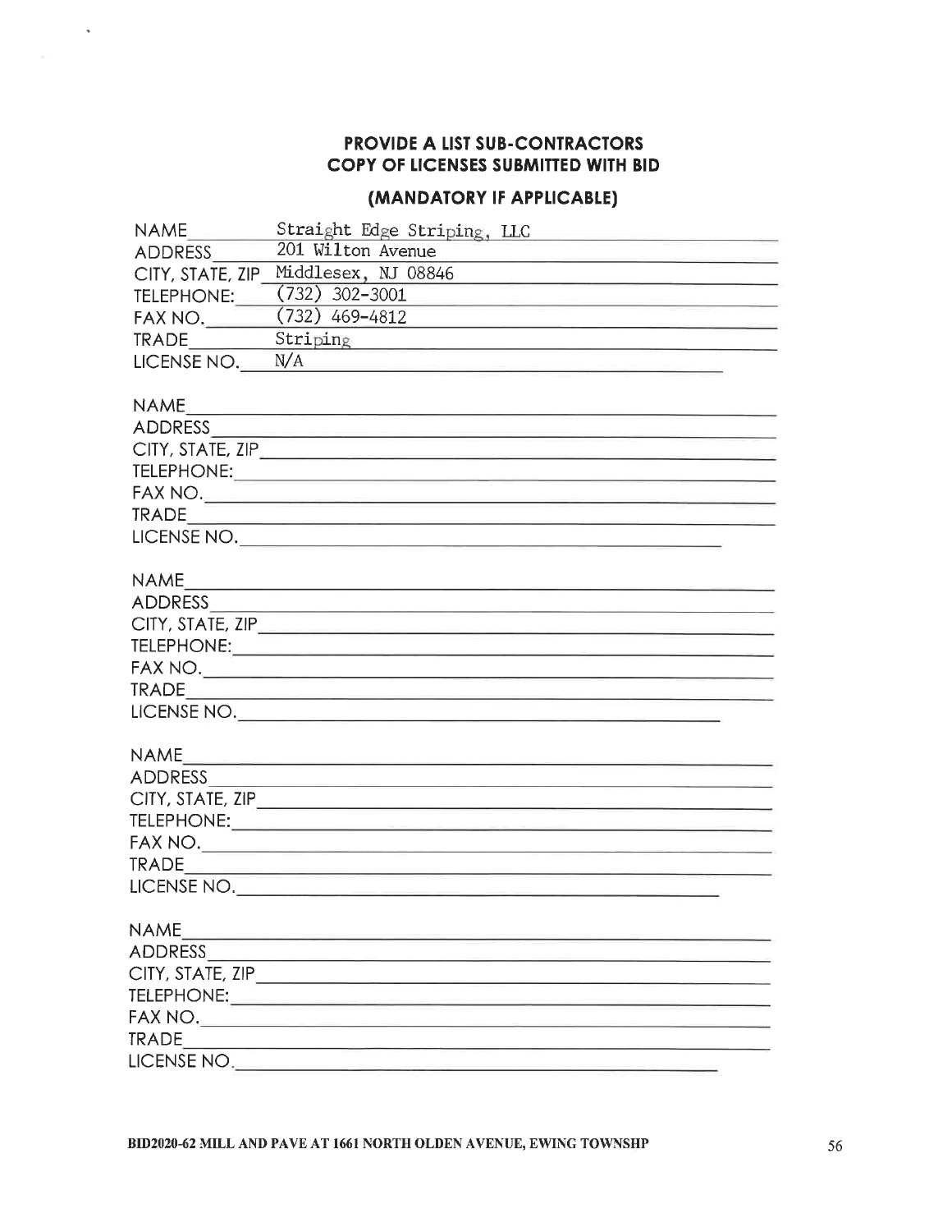$\bar{u}$ 

#### (MANDATORY IF APPLICABLE)

| <b>NAME</b>      |                                                                                                                                                                                                                                                                                                                                                                    |
|------------------|--------------------------------------------------------------------------------------------------------------------------------------------------------------------------------------------------------------------------------------------------------------------------------------------------------------------------------------------------------------------|
| ADDRESS          | 201 Wilton Avenue<br><u> De la construcción de la construcción de la construcción de la construcción de la construcción de la construcción de la construcción de la construcción de la construcción de la construcción de la construcción de la const</u>                                                                                                          |
| CITY, STATE, ZIP |                                                                                                                                                                                                                                                                                                                                                                    |
| TELEPHONE:       | $(732)$ 302-3001                                                                                                                                                                                                                                                                                                                                                   |
| FAX NO.          | $(732)$ 469-4812                                                                                                                                                                                                                                                                                                                                                   |
| <b>TRADE</b>     | Striping and the strip of the strip of the strip of the strip of the strip of the strip of the strip of the str                                                                                                                                                                                                                                                    |
| LICENSE NO.      | N/A                                                                                                                                                                                                                                                                                                                                                                |
|                  |                                                                                                                                                                                                                                                                                                                                                                    |
| <b>NAME</b>      | <u> 1980 - Antonio Alemania, politikar politikar (h. 1980)</u>                                                                                                                                                                                                                                                                                                     |
|                  |                                                                                                                                                                                                                                                                                                                                                                    |
|                  | CITY, STATE, ZIP <u>And the contract of the contract of the contract of the contract of the contract of the contract of the contract of the contract of the contract of the contract of the contract of the contract of the cont</u>                                                                                                                               |
|                  |                                                                                                                                                                                                                                                                                                                                                                    |
|                  |                                                                                                                                                                                                                                                                                                                                                                    |
|                  |                                                                                                                                                                                                                                                                                                                                                                    |
|                  | $\begin{picture}(180,10) \put(0,0){\vector(1,0){100}} \put(10,0){\vector(1,0){100}} \put(10,0){\vector(1,0){100}} \put(10,0){\vector(1,0){100}} \put(10,0){\vector(1,0){100}} \put(10,0){\vector(1,0){100}} \put(10,0){\vector(1,0){100}} \put(10,0){\vector(1,0){100}} \put(10,0){\vector(1,0){100}} \put(10,0){\vector(1,0){100}} \put(10,0){\vector(1,0){100}}$ |
|                  |                                                                                                                                                                                                                                                                                                                                                                    |
| <b>NAME</b>      |                                                                                                                                                                                                                                                                                                                                                                    |
|                  |                                                                                                                                                                                                                                                                                                                                                                    |
|                  | CITY, STATE, ZIP                                                                                                                                                                                                                                                                                                                                                   |
|                  |                                                                                                                                                                                                                                                                                                                                                                    |
|                  |                                                                                                                                                                                                                                                                                                                                                                    |
| <b>TRADE</b>     | <u> 1989 - Andrej Bernstein, mars et al. 1989 - Andrej Bernstein, mars et al. 1989 - Andrej Bernstein, mars et a</u>                                                                                                                                                                                                                                               |
|                  | LICENSE NO.                                                                                                                                                                                                                                                                                                                                                        |
|                  |                                                                                                                                                                                                                                                                                                                                                                    |
| <b>NAME</b>      | <u> 1989 - Jan Bernard Bernard, mensental personal eta propinsioa</u>                                                                                                                                                                                                                                                                                              |
|                  |                                                                                                                                                                                                                                                                                                                                                                    |
|                  |                                                                                                                                                                                                                                                                                                                                                                    |
|                  |                                                                                                                                                                                                                                                                                                                                                                    |
|                  |                                                                                                                                                                                                                                                                                                                                                                    |
|                  |                                                                                                                                                                                                                                                                                                                                                                    |
|                  | LICENSE NO.                                                                                                                                                                                                                                                                                                                                                        |
|                  |                                                                                                                                                                                                                                                                                                                                                                    |
| <b>NAME</b>      |                                                                                                                                                                                                                                                                                                                                                                    |
| ADDRESS          |                                                                                                                                                                                                                                                                                                                                                                    |
|                  |                                                                                                                                                                                                                                                                                                                                                                    |
|                  |                                                                                                                                                                                                                                                                                                                                                                    |
|                  |                                                                                                                                                                                                                                                                                                                                                                    |
| <b>TRADE</b>     |                                                                                                                                                                                                                                                                                                                                                                    |
| LICENSE NO.      |                                                                                                                                                                                                                                                                                                                                                                    |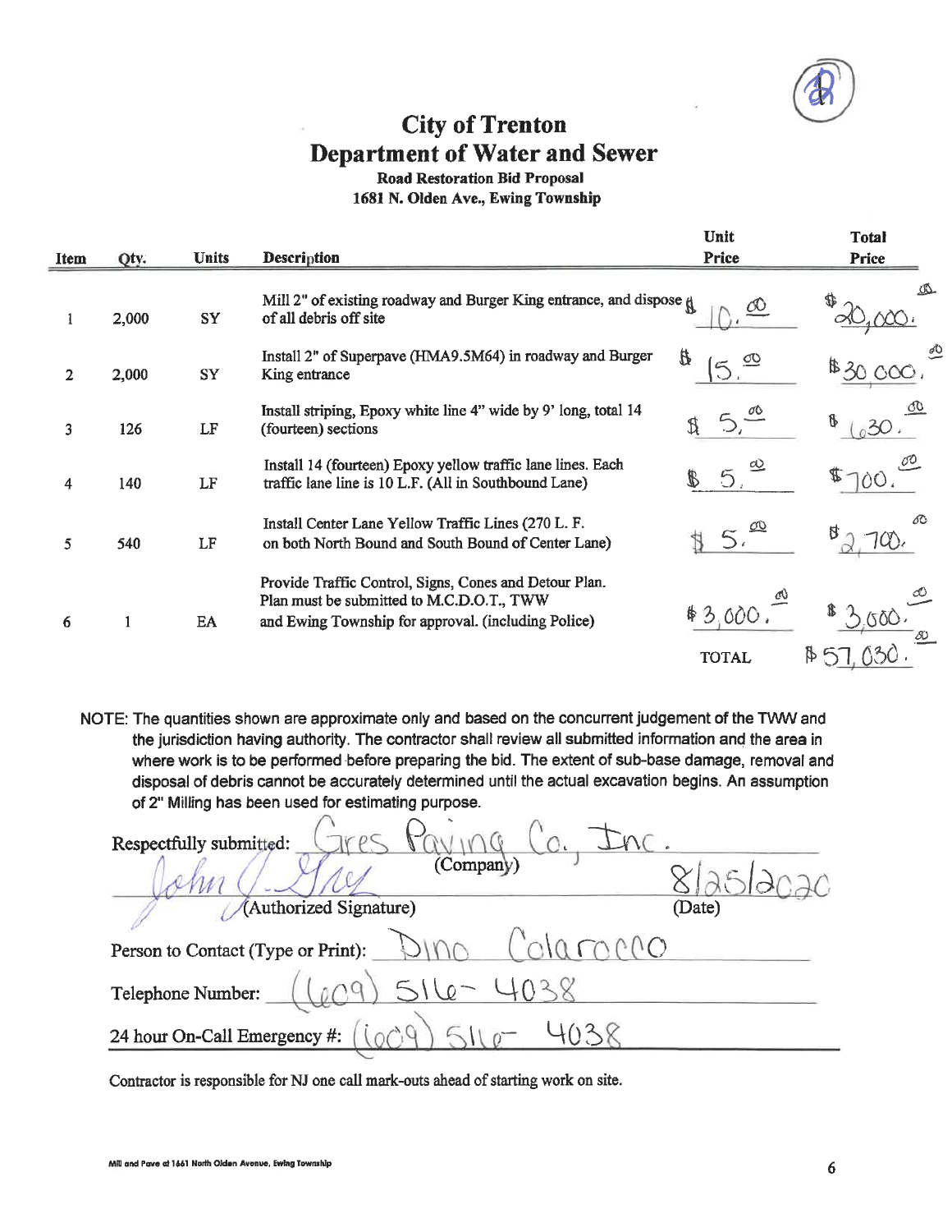# **City of Trenton Department of Water and Sewer**

#### **Road Restoration Bid Proposal**

1681 N. Olden Ave., Ewing Township

|                |       |              |                                                                                                                                                            | Unit                     | <b>Total</b> |
|----------------|-------|--------------|------------------------------------------------------------------------------------------------------------------------------------------------------------|--------------------------|--------------|
| <b>Item</b>    | Qty.  | <b>Units</b> | <b>Description</b>                                                                                                                                         | Price                    | <b>Price</b> |
|                | 2,000 | SY           | Mill 2" of existing roadway and Burger King entrance, and dispose $\mathfrak g$<br>of all debris off site                                                  |                          |              |
| $\overline{2}$ | 2,000 | <b>SY</b>    | Install 2" of Superpave (HMA9.5M64) in roadway and Burger<br>King entrance                                                                                 | B                        | \$30,000     |
| 3              | 126   | LF           | Install striping, Epoxy white line 4" wide by 9' long, total 14<br>(fourteen) sections                                                                     |                          | 81030        |
| 4              | 140   | LF           | Install 14 (fourteen) Epoxy yellow traffic lane lines. Each<br>traffic lane line is 10 L.F. (All in Southbound Lane)                                       | 5.                       |              |
| 5              | 540   | LF           | Install Center Lane Yellow Traffic Lines (270 L. F.<br>on both North Bound and South Bound of Center Lane)                                                 |                          |              |
| 6              |       | EA           | Provide Traffic Control, Signs, Cones and Detour Plan.<br>Plan must be submitted to M.C.D.O.T., TWW<br>and Ewing Township for approval. (including Police) | \$3.000.<br><b>TOTAL</b> | $\upbeta$ 5  |
|                |       |              |                                                                                                                                                            |                          |              |

NOTE: The quantities shown are approximate only and based on the concurrent judgement of the TWW and the jurisdiction having authority. The contractor shall review all submitted information and the area in where work is to be performed before preparing the bid. The extent of sub-base damage, removal and disposal of debris cannot be accurately determined until the actual excavation begins. An assumption of 2" Milling has been used for estimating purpose.

| Respectfully submitted:            |        |
|------------------------------------|--------|
| (Company)                          |        |
| (Authorized Signature)             | (Date) |
| Person to Contact (Type or Print): |        |
| $516 -$<br>Telephone Number:       |        |
| 24 hour On-Call Emergency #:       |        |

Contractor is responsible for NJ one call mark-outs ahead of starting work on site.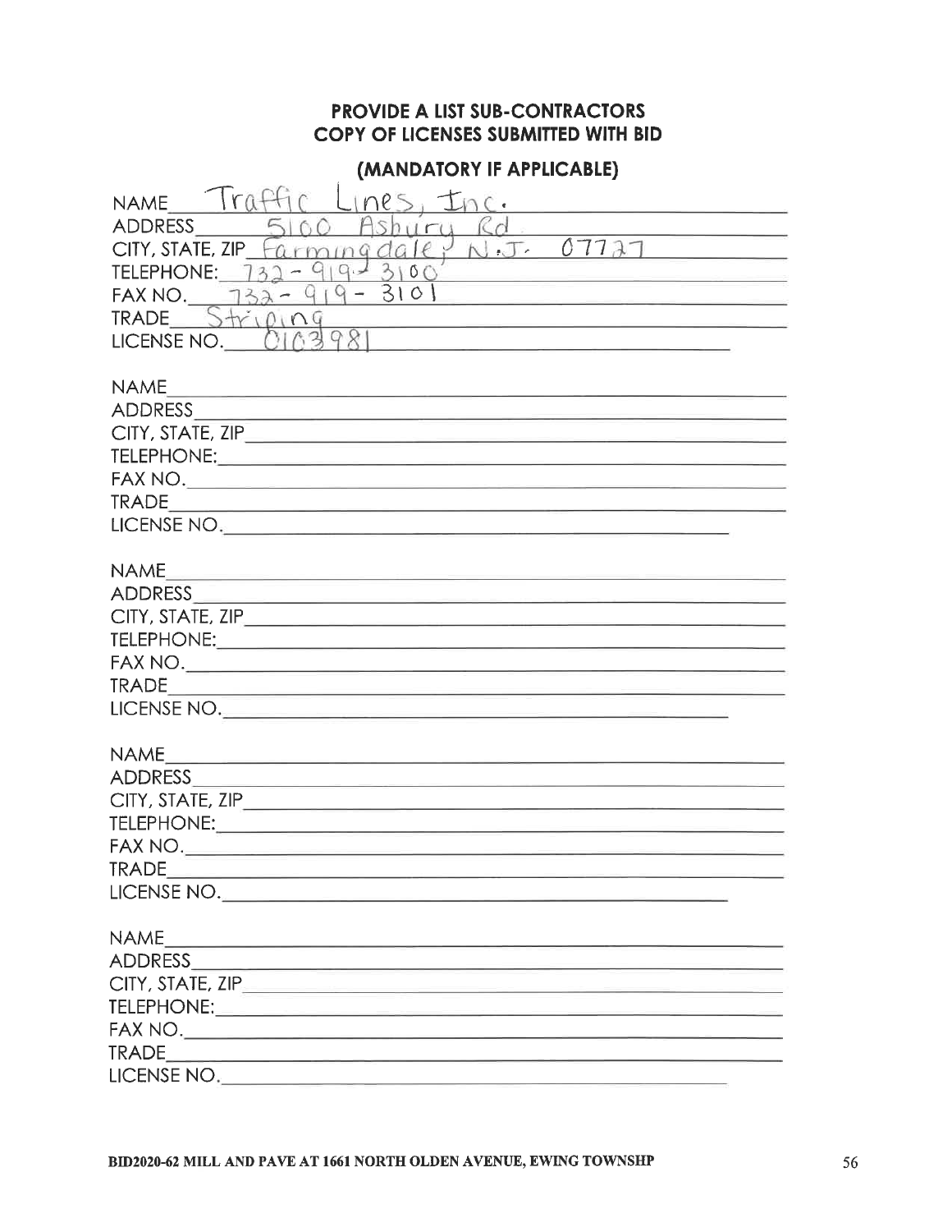#### (MANDATORY IF APPLICABLE)

| Iraffir<br>Lines, Inc.<br><b>NAME</b><br>ADDRESS<br>Ashuru<br>$\mathcal{R}$ d.                                 |
|----------------------------------------------------------------------------------------------------------------|
| $armnq$ date, $N.T. 07727$<br>CITY, STATE, ZIP                                                                 |
| 31<br><b>TELEPHONE: 732</b><br>O(                                                                              |
| FAX NO. $732 - 919 - 3101$                                                                                     |
| $TRADE$ $S+10109$                                                                                              |
| LICENSE NO. 0                                                                                                  |
|                                                                                                                |
| <b>NAME</b>                                                                                                    |
| <u> 1989 - Johann Stein, markin fyrir yr Amerikaansk ferhandste ferhandli</u>                                  |
|                                                                                                                |
|                                                                                                                |
|                                                                                                                |
|                                                                                                                |
|                                                                                                                |
|                                                                                                                |
| <b>NAME</b><br><u> 1980 - Antonio Alemania, presidente de la conte</u>                                         |
| ADDRESS AND RESERVE AND RESERVE AND RESERVE AND RESERVE AND RESERVE AND RESERVE AND RESERVE AND RESERVE AND RE |
|                                                                                                                |
|                                                                                                                |
|                                                                                                                |
|                                                                                                                |
| LICENSE NO.                                                                                                    |
|                                                                                                                |
| <b>NAME</b>                                                                                                    |
|                                                                                                                |
|                                                                                                                |
|                                                                                                                |
|                                                                                                                |
| <b>TRADE</b>                                                                                                   |
| LICENSE NO.                                                                                                    |
|                                                                                                                |
| <b>NAME</b>                                                                                                    |
|                                                                                                                |
|                                                                                                                |
|                                                                                                                |
|                                                                                                                |
|                                                                                                                |
| LICENSE NO.                                                                                                    |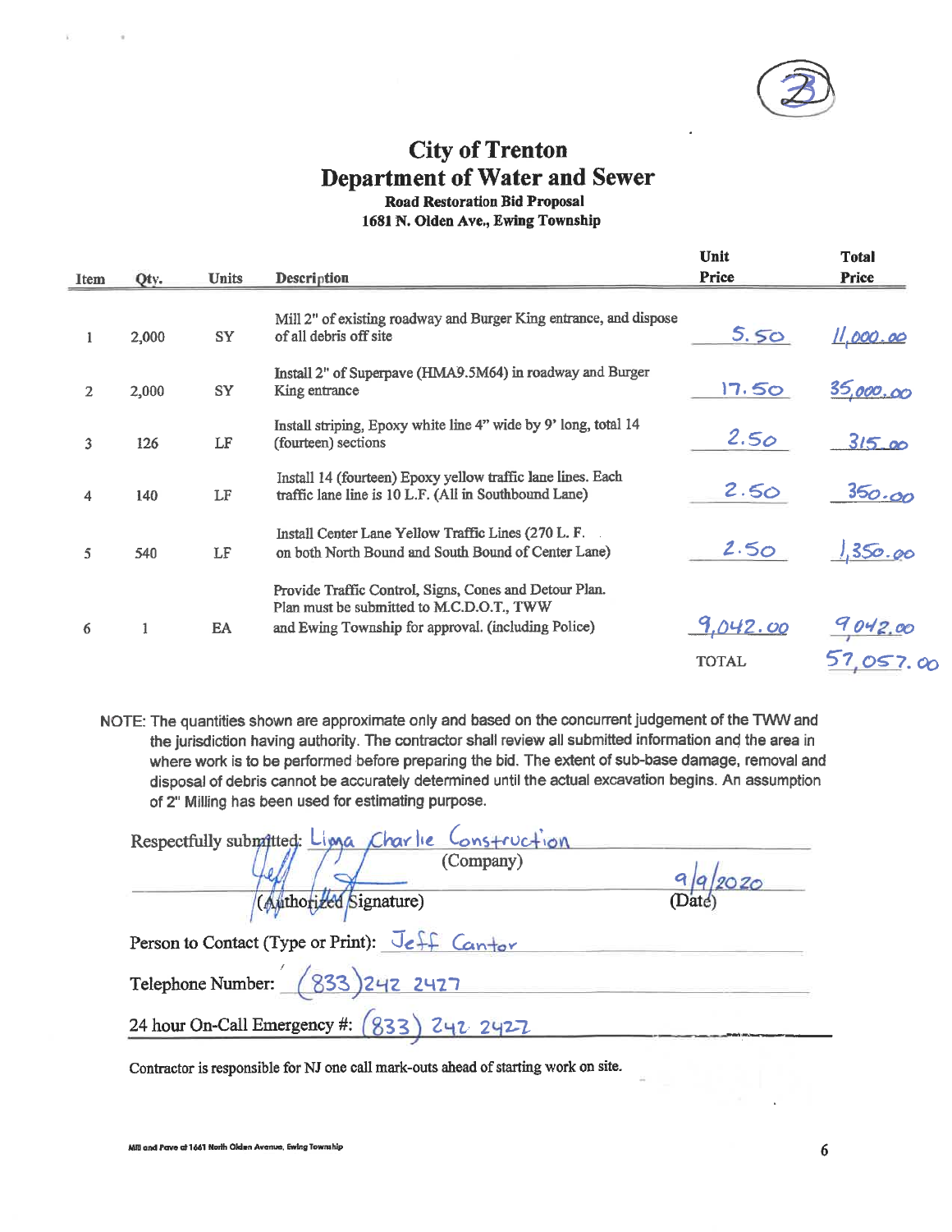

### **City of Trenton Department of Water and Sewer Road Restoration Bid Proposal**

1681 N. Olden Ave., Ewing Township

|                |       |              |                                                                                                                                                            | Unit                     | <b>Total</b>         |
|----------------|-------|--------------|------------------------------------------------------------------------------------------------------------------------------------------------------------|--------------------------|----------------------|
| Item           | Qty.  | <b>Units</b> | <b>Description</b>                                                                                                                                         | Price                    | Price                |
| 1              | 2,000 | <b>SY</b>    | Mill 2" of existing roadway and Burger King entrance, and dispose<br>of all debris off site                                                                | 5.50                     | <u>11.000.00</u>     |
| $\overline{2}$ | 2,000 | SY           | Install 2" of Superpave (HMA9.5M64) in roadway and Burger<br>King entrance                                                                                 | 17.50                    | 35,000,00            |
| 3              | 126   | LF           | Install striping, Epoxy white line 4" wide by 9' long, total 14<br>(fourteen) sections                                                                     | 2.50                     | 315.00               |
| 4              | 140   | LF           | Install 14 (fourteen) Epoxy yellow traffic lane lines. Each<br>traffic lane line is 10 L.F. (All in Southbound Lane)                                       | 2.50                     | 350.00               |
| 5              | 540   | LF           | Install Center Lane Yellow Traffic Lines (270 L. F.<br>on both North Bound and South Bound of Center Lane)                                                 | 2.50                     | 1,350.00             |
| 6              | 1     | EA           | Provide Traffic Control, Signs, Cones and Detour Plan.<br>Plan must be submitted to M.C.D.O.T., TWW<br>and Ewing Township for approval. (including Police) | 9.042.00<br><b>TOTAL</b> | 9042.00<br>57,057,00 |

NOTE: The quantities shown are approximate only and based on the concurrent judgement of the TWW and the jurisdiction having authority. The contractor shall review all submitted information and the area in where work is to be performed before preparing the bid. The extent of sub-base damage, removal and disposal of debris cannot be accurately determined until the actual excavation begins. An assumption of 2" Milling has been used for estimating purpose.

| Respectfully submitted: Linga Charlie Construction |                                 |  |  |  |
|----------------------------------------------------|---------------------------------|--|--|--|
| (Company)                                          |                                 |  |  |  |
| (Authorized Signature)                             | $\frac{1}{20}$ ( $\frac{4}{20}$ |  |  |  |
| Person to Contact (Type or Print): Jeff Cantor     |                                 |  |  |  |
| Telephone Number: (833) 242 2427                   |                                 |  |  |  |
| 24 hour On-Call Emergency #: (833) 242 2427        |                                 |  |  |  |

Contractor is responsible for NJ one call mark-outs ahead of starting work on site.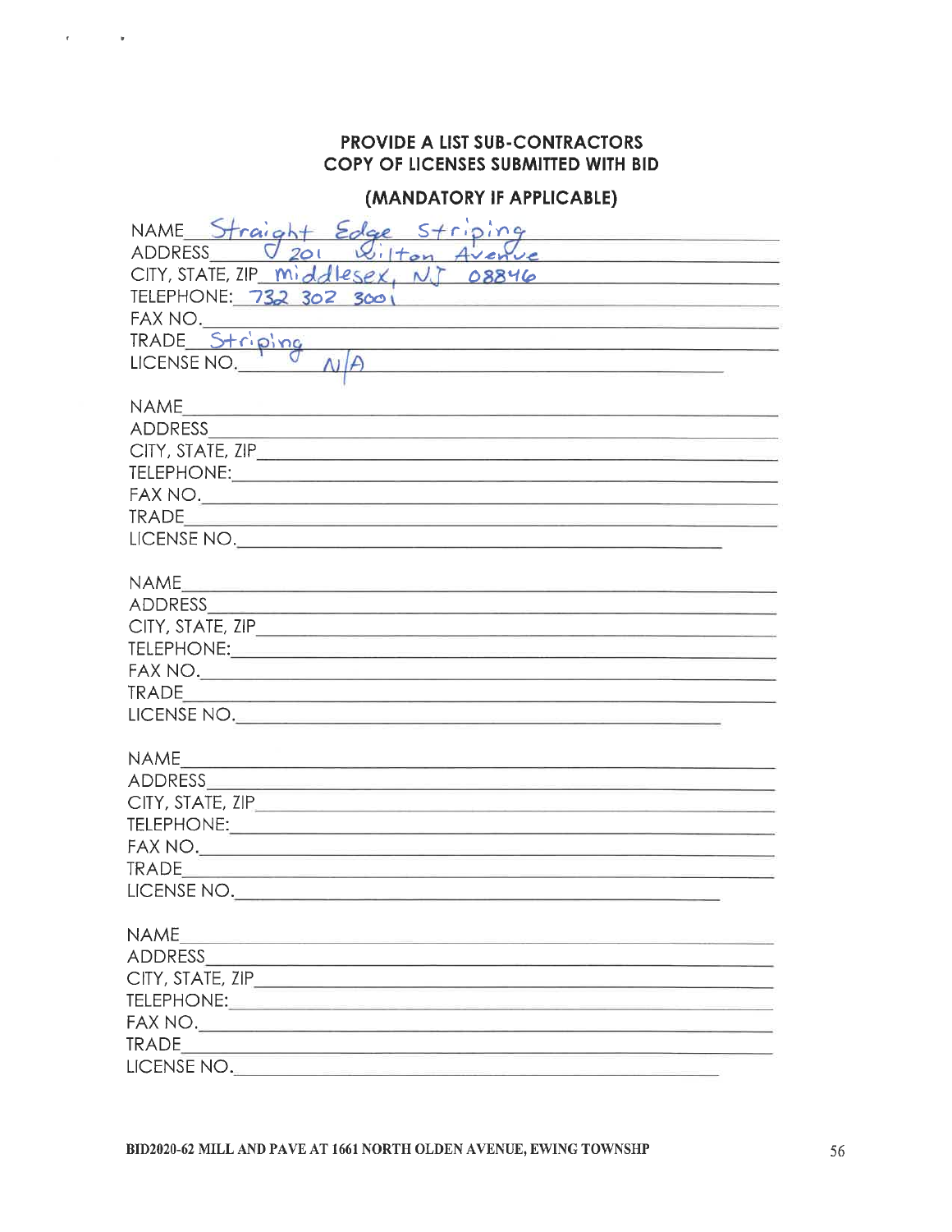¥

#### (MANDATORY IF APPLICABLE)

| NAME Straight Edge Striping                                                                                                               |
|-------------------------------------------------------------------------------------------------------------------------------------------|
| <b>ADDRESS</b><br>201                                                                                                                     |
| CITY, STATE, ZIP middlesex, NJ 08846                                                                                                      |
| TELEPHONE: 732 302 3001                                                                                                                   |
| FAX NO.                                                                                                                                   |
| TRADE Striping<br><u> 1989 - Johann Stein, fransk politik en og senere og en og s</u>                                                     |
| LICENSE NO.<br>the contract of the contract of the contract of the contract of the contract of                                            |
| <b>NAME</b><br><del>n le mar composto de la provincia</del>                                                                               |
|                                                                                                                                           |
|                                                                                                                                           |
|                                                                                                                                           |
|                                                                                                                                           |
| <b>TRADE</b><br><u> 1989 - Antonio Alemania, amerikan personal (h. 1989).</u><br>1980 - Antonio Alemania, president espainiar (h. 1980).  |
|                                                                                                                                           |
| <b>NAME</b>                                                                                                                               |
|                                                                                                                                           |
|                                                                                                                                           |
|                                                                                                                                           |
|                                                                                                                                           |
| <b>TRADE</b><br><u> 1989 - Johann Harry Maria Barbara, martxa a shekara 1980 - Ang tsayin a shekara 1980 - Ang tsayin a shekara 1</u>     |
| LICENSE NO.                                                                                                                               |
|                                                                                                                                           |
|                                                                                                                                           |
|                                                                                                                                           |
|                                                                                                                                           |
|                                                                                                                                           |
|                                                                                                                                           |
| <b>TRADE</b><br><u> De la componenta de la componenta de la componenta de la componenta de la componenta de la componenta de la compo</u> |
| LICENSE NO.                                                                                                                               |
| <b>NAME</b>                                                                                                                               |
| <b>ADDRESS</b>                                                                                                                            |
|                                                                                                                                           |
|                                                                                                                                           |
|                                                                                                                                           |
| <b>TRADE</b><br>the control of the control of the control of the control of the control of                                                |
| LICENSE NO.                                                                                                                               |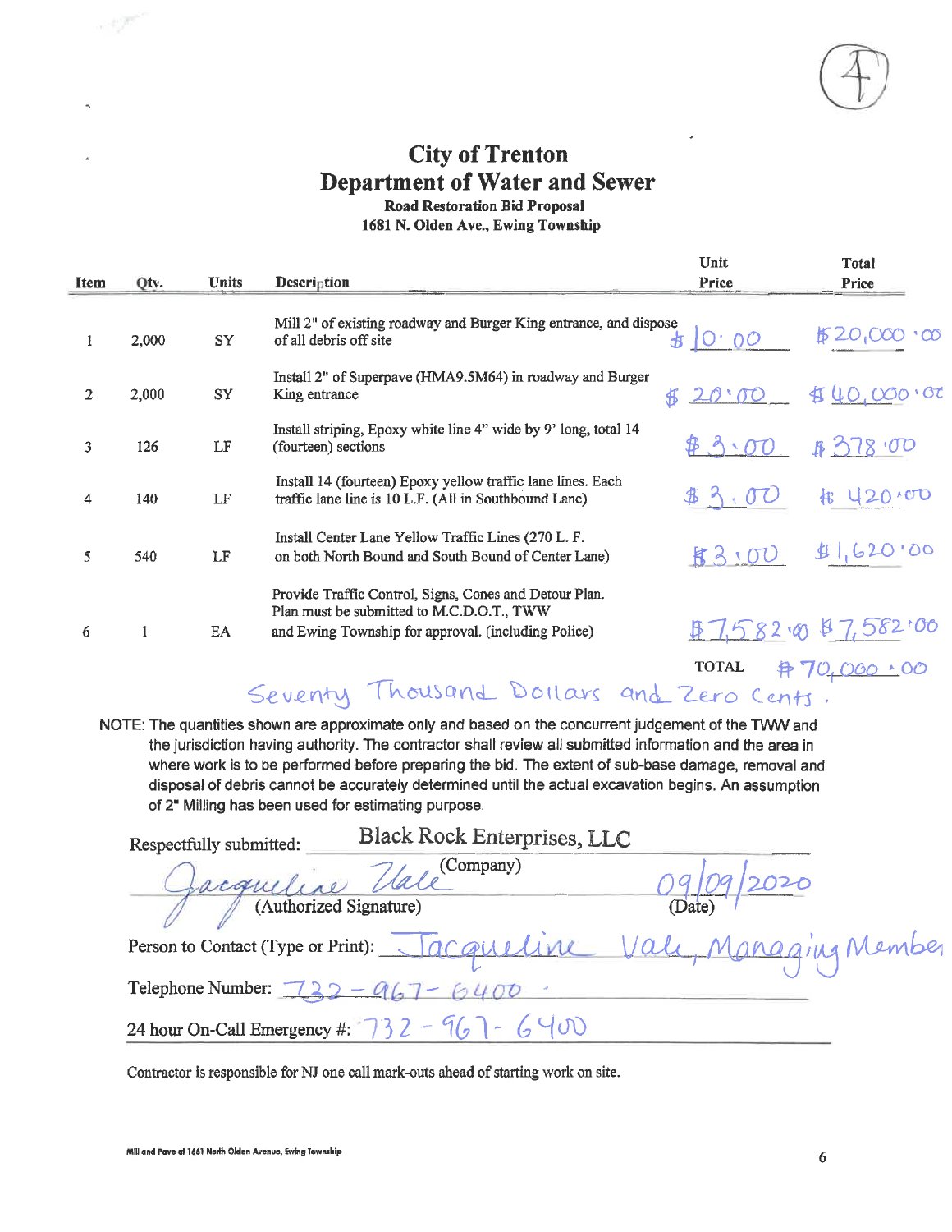

# **City of Trenton Department of Water and Sewer**

**Road Restoration Bid Proposal** 

1681 N. Olden Ave., Ewing Township

|             |       |              |                                                                                                                                                            | Unit          | <b>Total</b>          |
|-------------|-------|--------------|------------------------------------------------------------------------------------------------------------------------------------------------------------|---------------|-----------------------|
| <b>Item</b> | Qtv.  | <b>Units</b> | Description                                                                                                                                                | Price         | <b>Price</b>          |
|             | 2,000 | <b>SY</b>    | Mill 2" of existing roadway and Burger King entrance, and dispose<br>of all debris off site                                                                | <b>お 0.00</b> | \$20                  |
| 2           | 2,000 | SY           | Install 2" of Superpave (HMA9.5M64) in roadway and Burger<br>King entrance                                                                                 | 20.00         | 40,000,000            |
| 3           | 126   | LF           | Install striping, Epoxy white line 4" wide by 9' long, total 14<br>(fourteen) sections                                                                     | 4.3.00        | 828.00                |
| 4           | 140   | LF           | Install 14 (fourteen) Epoxy yellow traffic lane lines. Each<br>traffic lane line is 10 L.F. (All in Southbound Lane)                                       |               | 420.00                |
| 5           | 540   | LF           | Install Center Lane Yellow Traffic Lines (270 L. F.<br>on both North Bound and South Bound of Center Lane)                                                 | 83.00         | 1,620.00              |
| 6           |       | EA           | Provide Traffic Control, Signs, Cones and Detour Plan.<br>Plan must be submitted to M.C.D.O.T., TWW<br>and Ewing Township for approval. (including Police) |               | 87,58200              |
|             |       |              |                                                                                                                                                            | <b>TOTAL</b>  | <u> 弁 70,000 +</u> 00 |

Seventy Thousand Dollars and Zero Cents.

NOTE: The quantities shown are approximate only and based on the concurrent judgement of the TWW and the jurisdiction having authority. The contractor shall review all submitted information and the area in where work is to be performed before preparing the bid. The extent of sub-base damage, removal and disposal of debris cannot be accurately determined until the actual excavation begins. An assumption of 2" Milling has been used for estimating purpose.

| Respectfully submitted:                                                                                | <b>Black Rock Enterprises, LLC</b>                          |                             |
|--------------------------------------------------------------------------------------------------------|-------------------------------------------------------------|-----------------------------|
|                                                                                                        | equeline Vale (Company)                                     |                             |
| (Authorized Signature)                                                                                 |                                                             | (Date)                      |
| Person to Contact (Type or Print): $\bigcup_{\mathcal{A}} \bigcap_{\mathcal{A}} \bigcap_{\mathcal{A}}$ |                                                             | uline Vale, Managing Member |
| Telephone Number: $\overline{722} - 9$                                                                 |                                                             |                             |
|                                                                                                        | 24 hour On-Call Emergency #: $\sqrt{3}$ $2 - 96$ $\sqrt{0}$ |                             |

Contractor is responsible for NJ one call mark-outs ahead of starting work on site.

- 197